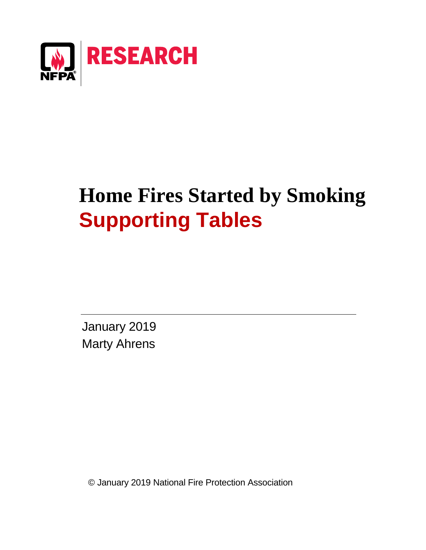

# **Home Fires Started by Smoking Supporting Tables**

January 2019 Marty Ahrens

© January 2019 National Fire Protection Association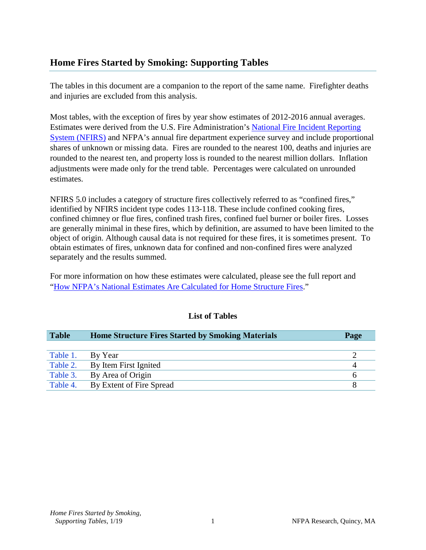## **Home Fires Started by Smoking: Supporting Tables**

The tables in this document are a companion to the report of the same name. Firefighter deaths and injuries are excluded from this analysis.

Most tables, with the exception of fires by year show estimates of 2012-2016 annual averages. Estimates were derived from the U.S. Fire Administration's [National Fire Incident Reporting](https://www.usfa.fema.gov/data/nfirs/)  [System \(NFIRS\)](https://www.usfa.fema.gov/data/nfirs/) and NFPA's annual fire department experience survey and include proportional shares of unknown or missing data. Fires are rounded to the nearest 100, deaths and injuries are rounded to the nearest ten, and property loss is rounded to the nearest million dollars. Inflation adjustments were made only for the trend table. Percentages were calculated on unrounded estimates.

NFIRS 5.0 includes a category of structure fires collectively referred to as "confined fires," identified by NFIRS incident type codes 113-118. These include confined cooking fires, confined chimney or flue fires, confined trash fires, confined fuel burner or boiler fires. Losses are generally minimal in these fires, which by definition, are assumed to have been limited to the object of origin. Although causal data is not required for these fires, it is sometimes present. To obtain estimates of fires, unknown data for confined and non-confined fires were analyzed separately and the results summed.

For more information on how these estimates were calculated, please see the full report and ["How NFPA's National Estimates Are Calculated for Home Structure Fires.](https://www.nfpa.org/-/media/Files/News-and-Research/Fire-statistics-and-reports/NFPA-estimates-and-methodology/HowNationalEstimatesAreCalculatedForHomeStructureFires.pdf)"

| <b>Table</b> | <b>Home Structure Fires Started by Smoking Materials</b> | Page |
|--------------|----------------------------------------------------------|------|
|              |                                                          |      |
| Table 1.     | By Year                                                  |      |
| Table 2.     | By Item First Ignited                                    |      |
| Table 3.     | By Area of Origin                                        | h    |
| Table 4.     | By Extent of Fire Spread                                 |      |

## **List of Tables**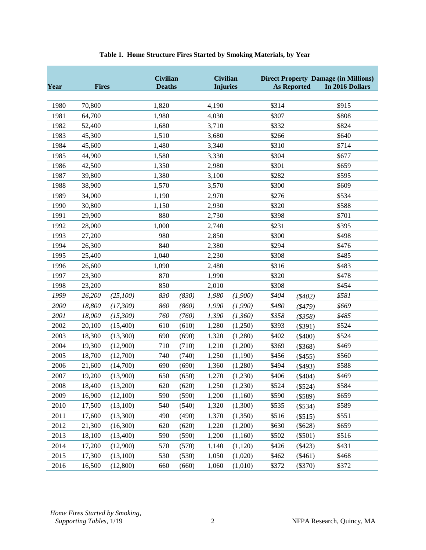<span id="page-2-0"></span>

| Year | <b>Fires</b> |          |       | <b>Civilian</b><br><b>Civilian</b><br><b>Deaths</b><br><b>Injuries</b> |       |         | <b>Direct Property Damage (in Millions)</b><br><b>As Reported</b><br>In 2016 Dollars |               |       |  |  |
|------|--------------|----------|-------|------------------------------------------------------------------------|-------|---------|--------------------------------------------------------------------------------------|---------------|-------|--|--|
|      |              |          |       |                                                                        |       |         |                                                                                      |               |       |  |  |
| 1980 | 70,800       |          | 1,820 |                                                                        | 4,190 |         | \$314                                                                                |               | \$915 |  |  |
| 1981 | 64,700       |          | 1,980 |                                                                        | 4,030 |         | \$307                                                                                |               | \$808 |  |  |
| 1982 | 52,400       |          | 1,680 |                                                                        | 3,710 |         | \$332                                                                                |               | \$824 |  |  |
| 1983 | 45,300       |          | 1,510 |                                                                        | 3,680 |         | \$266                                                                                |               | \$640 |  |  |
| 1984 | 45,600       |          | 1,480 |                                                                        | 3,340 |         | \$310                                                                                |               | \$714 |  |  |
| 1985 | 44,900       |          | 1,580 |                                                                        | 3,330 |         | \$304                                                                                |               | \$677 |  |  |
| 1986 | 42,500       |          | 1,350 |                                                                        | 2,980 |         | \$301                                                                                |               | \$659 |  |  |
| 1987 | 39,800       |          | 1,380 |                                                                        | 3,100 |         | \$282                                                                                |               | \$595 |  |  |
| 1988 | 38,900       |          | 1,570 |                                                                        | 3,570 |         | \$300                                                                                |               | \$609 |  |  |
| 1989 | 34,000       |          | 1,190 |                                                                        | 2,970 |         | \$276                                                                                |               | \$534 |  |  |
| 1990 | 30,800       |          | 1,150 |                                                                        | 2,930 |         | \$320                                                                                |               | \$588 |  |  |
| 1991 | 29,900       |          | 880   |                                                                        | 2,730 |         | \$398                                                                                |               | \$701 |  |  |
| 1992 | 28,000       |          | 1,000 |                                                                        | 2,740 |         | \$231                                                                                |               | \$395 |  |  |
| 1993 | 27,200       |          | 980   |                                                                        | 2,850 |         | \$300                                                                                |               | \$498 |  |  |
| 1994 | 26,300       |          | 840   |                                                                        | 2,380 |         | \$294                                                                                |               | \$476 |  |  |
| 1995 | 25,400       |          | 1,040 |                                                                        | 2,230 |         | \$308                                                                                |               | \$485 |  |  |
| 1996 | 26,600       |          | 1,090 |                                                                        | 2,480 |         | \$316                                                                                |               | \$483 |  |  |
| 1997 | 23,300       |          | 870   |                                                                        | 1,990 |         | \$320                                                                                |               | \$478 |  |  |
| 1998 | 23,200       |          | 850   |                                                                        | 2,010 |         | \$308                                                                                |               | \$454 |  |  |
| 1999 | 26,200       | (25,100) | 830   | (830)                                                                  | 1,980 | (1,900) | \$404                                                                                | $(*402)$      | \$581 |  |  |
| 2000 | 18,800       | (17,300) | 860   | (860)                                                                  | 1,990 | (1,990) | \$480                                                                                | ( \$479)      | \$669 |  |  |
| 2001 | 18,000       | (15,300) | 760   | (760)                                                                  | 1,390 | (1,360) | \$358                                                                                | $($ \$358 $)$ | \$485 |  |  |
| 2002 | 20,100       | (15,400) | 610   | (610)                                                                  | 1,280 | (1,250) | \$393                                                                                | $(\$391)$     | \$524 |  |  |
| 2003 | 18,300       | (13,300) | 690   | (690)                                                                  | 1,320 | (1,280) | \$402                                                                                | $(\$400)$     | \$524 |  |  |
| 2004 | 19,300       | (12,900) | 710   | (710)                                                                  | 1,210 | (1,200) | \$369                                                                                | (\$368)       | \$469 |  |  |
| 2005 | 18,700       | (12,700) | 740   | (740)                                                                  | 1,250 | (1,190) | \$456                                                                                | $(\$455)$     | \$560 |  |  |
| 2006 | 21,600       | (14,700) | 690   | (690)                                                                  | 1,360 | (1,280) | \$494                                                                                | $(\$493)$     | \$588 |  |  |
| 2007 | 19,200       | (13,900) | 650   | (650)                                                                  | 1,270 | (1,230) | \$406                                                                                | $(\$404)$     | \$469 |  |  |
| 2008 | 18,400       | (13,200) | 620   | (620)                                                                  | 1,250 | (1,230) | \$524                                                                                | $(\$524)$     | \$584 |  |  |
| 2009 | 16,900       | (12,100) | 590   | (590)                                                                  | 1,200 | (1,160) | \$590                                                                                | $(\$589)$     | \$659 |  |  |
| 2010 | 17,500       | (13,100) | 540   | (540)                                                                  | 1,320 | (1,300) | \$535                                                                                | $(\$534)$     | \$589 |  |  |
| 2011 | 17,600       | (13,300) | 490   | (490)                                                                  | 1,370 | (1,350) | \$516                                                                                | (\$515)       | \$551 |  |  |
| 2012 | 21,300       | (16,300) | 620   | (620)                                                                  | 1,220 | (1,200) | \$630                                                                                | $(\$628)$     | \$659 |  |  |
| 2013 | 18,100       | (13,400) | 590   | (590)                                                                  | 1,200 | (1,160) | \$502                                                                                | $(\$501)$     | \$516 |  |  |
| 2014 | 17,200       | (12,900) | 570   | (570)                                                                  | 1,140 | (1,120) | \$426                                                                                | $(\$423)$     | \$431 |  |  |
| 2015 | 17,300       | (13,100) | 530   | (530)                                                                  | 1,050 | (1,020) | \$462                                                                                | $(\$461)$     | \$468 |  |  |
| 2016 | 16,500       | (12,800) | 660   | (660)                                                                  | 1,060 | (1,010) | \$372                                                                                | $(\$370)$     | \$372 |  |  |

### **Table 1. Home Structure Fires Started by Smoking Materials, by Year**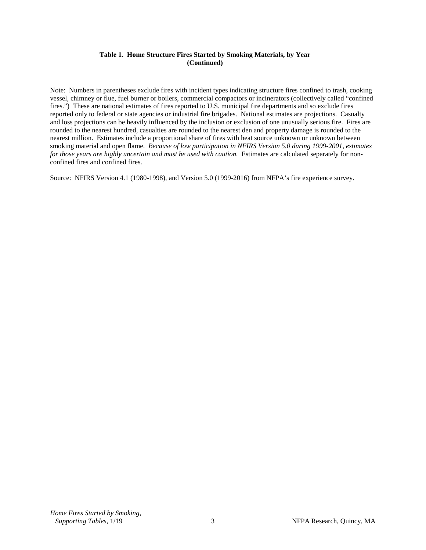#### **Table 1. Home Structure Fires Started by Smoking Materials, by Year (Continued)**

Note: Numbers in parentheses exclude fires with incident types indicating structure fires confined to trash, cooking vessel, chimney or flue, fuel burner or boilers, commercial compactors or incinerators (collectively called "confined fires.") These are national estimates of fires reported to U.S. municipal fire departments and so exclude fires reported only to federal or state agencies or industrial fire brigades. National estimates are projections. Casualty and loss projections can be heavily influenced by the inclusion or exclusion of one unusually serious fire. Fires are rounded to the nearest hundred, casualties are rounded to the nearest den and property damage is rounded to the nearest million. Estimates include a proportional share of fires with heat source unknown or unknown between smoking material and open flame. *Because of low participation in NFIRS Version 5.0 during 1999-2001, estimates for those years are highly uncertain and must be used with caution.* Estimates are calculated separately for nonconfined fires and confined fires.

Source: NFIRS Version 4.1 (1980-1998), and Version 5.0 (1999-2016) from NFPA's fire experience survey.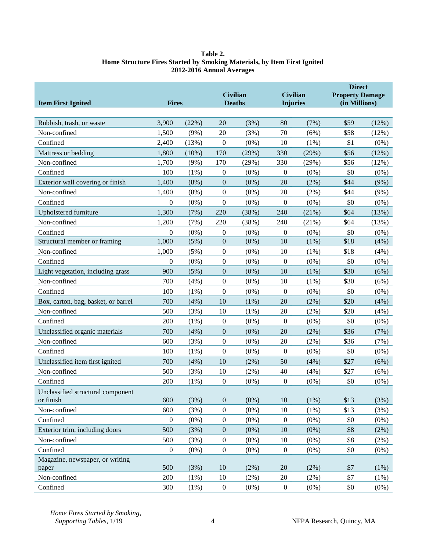#### **Table 2. Home Structure Fires Started by Smoking Materials, by Item First Ignited 2012-2016 Annual Averages**

<span id="page-4-0"></span>

| <b>Item First Ignited</b>                      | <b>Fires</b>     |         |                  | <b>Civilian</b><br><b>Deaths</b> | <b>Civilian</b><br><b>Injuries</b> |         | <b>Direct</b><br><b>Property Damage</b><br>(in Millions) |         |
|------------------------------------------------|------------------|---------|------------------|----------------------------------|------------------------------------|---------|----------------------------------------------------------|---------|
| Rubbish, trash, or waste                       | 3,900            | (22%)   | 20               | (3%)                             | 80                                 | (7%)    | \$59                                                     | (12%)   |
| Non-confined                                   | 1,500            | (9%)    | 20               | (3%)                             | 70                                 | (6%)    | \$58                                                     | (12%)   |
| Confined                                       | 2,400            | (13%)   | $\mathbf{0}$     | $(0\%)$                          | 10                                 | (1%)    | \$1                                                      | $(0\%)$ |
| Mattress or bedding                            | 1,800            | (10%)   | 170              | (29%)                            | 330                                | (29%)   | \$56                                                     | (12%)   |
| Non-confined                                   | 1,700            | (9%)    | 170              | (29%)                            | 330                                | (29%)   | \$56                                                     | (12%)   |
| Confined                                       | 100              | $(1\%)$ | $\boldsymbol{0}$ | $(0\%)$                          | $\boldsymbol{0}$                   | $(0\%)$ | \$0                                                      | $(0\%)$ |
| Exterior wall covering or finish               | 1,400            | (8%)    | $\boldsymbol{0}$ | $(0\%)$                          | 20                                 | (2%)    | \$44                                                     | $(9\%)$ |
| Non-confined                                   | 1,400            | $(8\%)$ | $\boldsymbol{0}$ | $(0\%)$                          | 20                                 | (2%)    | \$44                                                     | (9%)    |
| Confined                                       | $\theta$         | $(0\%)$ | $\boldsymbol{0}$ | $(0\%)$                          | $\boldsymbol{0}$                   | $(0\%)$ | \$0                                                      | $(0\%)$ |
| Upholstered furniture                          | 1,300            | (7%)    | 220              | (38%)                            | 240                                | (21%)   | \$64                                                     | (13%)   |
| Non-confined                                   | 1,200            | (7%)    | 220              | (38%)                            | 240                                | (21%)   | \$64                                                     | (13%)   |
| Confined                                       | $\theta$         | $(0\%)$ | $\boldsymbol{0}$ | $(0\%)$                          | $\boldsymbol{0}$                   | $(0\%)$ | \$0                                                      | $(0\%)$ |
| Structural member or framing                   | 1,000            | (5%)    | $\boldsymbol{0}$ | $(0\%)$                          | 10                                 | $(1\%)$ | \$18                                                     | (4%)    |
| Non-confined                                   | 1,000            | (5%)    | $\boldsymbol{0}$ | $(0\%)$                          | 10                                 | (1%)    | \$18                                                     | (4%)    |
| Confined                                       | $\mathbf{0}$     | $(0\%)$ | $\boldsymbol{0}$ | $(0\%)$                          | $\boldsymbol{0}$                   | $(0\%)$ | \$0                                                      | $(0\%)$ |
| Light vegetation, including grass              | 900              | (5%)    | $\boldsymbol{0}$ | $(0\%)$                          | 10                                 | (1%)    | \$30                                                     | (6%)    |
| Non-confined                                   | 700              | (4%)    | $\boldsymbol{0}$ | $(0\%)$                          | 10                                 | $(1\%)$ | \$30                                                     | (6%)    |
| Confined                                       | 100              | $(1\%)$ | $\boldsymbol{0}$ | $(0\%)$                          | $\boldsymbol{0}$                   | $(0\%)$ | \$0                                                      | $(0\%)$ |
| Box, carton, bag, basket, or barrel            | 700              | (4%)    | 10               | (1%)                             | 20                                 | (2%)    | \$20                                                     | (4%)    |
| Non-confined                                   | 500              | (3%)    | 10               | (1%)                             | 20                                 | (2%)    | \$20                                                     | (4%)    |
| Confined                                       | 200              | $(1\%)$ | $\boldsymbol{0}$ | $(0\%)$                          | $\boldsymbol{0}$                   | $(0\%)$ | \$0                                                      | $(0\%)$ |
| Unclassified organic materials                 | 700              | (4%)    | $\boldsymbol{0}$ | $(0\%)$                          | 20                                 | (2%)    | \$36                                                     | (7%)    |
| Non-confined                                   | 600              | (3%)    | $\boldsymbol{0}$ | $(0\%)$                          | 20                                 | (2%)    | \$36                                                     | (7%)    |
| Confined                                       | 100              | $(1\%)$ | $\boldsymbol{0}$ | $(0\%)$                          | $\boldsymbol{0}$                   | $(0\%)$ | \$0                                                      | $(0\%)$ |
| Unclassified item first ignited                | 700              | (4%)    | 10               | (2%)                             | 50                                 | (4%)    | \$27                                                     | (6%)    |
| Non-confined                                   | 500              | (3%)    | 10               | (2%)                             | 40                                 | (4%)    | \$27                                                     | (6%)    |
| Confined                                       | 200              | $(1\%)$ | $\boldsymbol{0}$ | $(0\%)$                          | $\boldsymbol{0}$                   | $(0\%)$ | \$0                                                      | $(0\%)$ |
| Unclassified structural component<br>or finish | 600              | (3%)    | $\boldsymbol{0}$ | $(0\%)$                          | 10                                 | (1%)    | \$13                                                     | (3%)    |
| Non-confined                                   | 600              | (3%)    | $\boldsymbol{0}$ | $(0\%)$                          | $10\,$                             | $(1\%)$ | \$13                                                     | (3%)    |
| Confined                                       | $\boldsymbol{0}$ | $(0\%)$ | $\boldsymbol{0}$ | $(0\%)$                          | $\boldsymbol{0}$                   | $(0\%)$ | \$0                                                      | $(0\%)$ |
| Exterior trim, including doors                 | 500              | (3%)    | $\boldsymbol{0}$ | $(0\%)$                          | $10\,$                             | $(0\%)$ | \$8                                                      | (2%)    |
| Non-confined                                   | 500              | (3%)    | $\boldsymbol{0}$ | $(0\%)$                          | 10                                 | $(0\%)$ | \$8                                                      | (2%)    |
| Confined                                       | $\boldsymbol{0}$ | $(0\%)$ | $\boldsymbol{0}$ | $(0\%)$                          | $\boldsymbol{0}$                   | $(0\%)$ | \$0                                                      | $(0\%)$ |
| Magazine, newspaper, or writing                |                  |         |                  |                                  |                                    |         |                                                          |         |
| paper                                          | 500              | (3%)    | 10               | $(2\%)$                          | $20\,$                             | (2%)    | \$7                                                      | (1%)    |
| Non-confined                                   | 200              | $(1\%)$ | 10               | $(2\%)$                          | $20\,$                             | (2%)    | \$7                                                      | (1%)    |
| Confined                                       | 300              | $(1\%)$ | $\boldsymbol{0}$ | $(0\%)$                          | $\boldsymbol{0}$                   | $(0\%)$ | \$0                                                      | $(0\%)$ |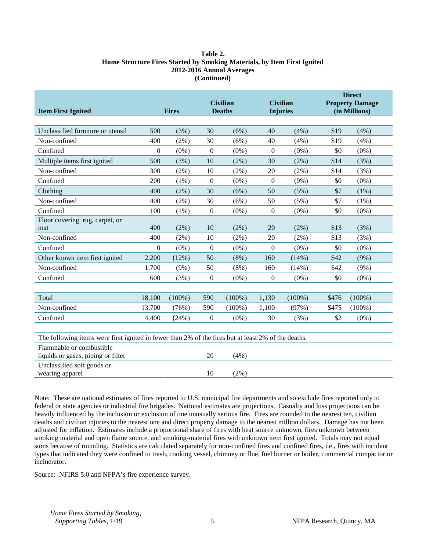#### **Table 2. Home Structure Fires Started by Smoking Materials, by Item First Ignited 2012-2016 Annual Averages (Continued)**

| <b>Item First Ignited</b>                                                                           |              | <b>Civilian</b><br><b>Fires</b><br><b>Deaths</b> |                  |           |                  | <b>Civilian</b><br><b>Injuries</b> | <b>Direct</b><br><b>Property Damage</b><br>(in Millions) |           |  |
|-----------------------------------------------------------------------------------------------------|--------------|--------------------------------------------------|------------------|-----------|------------------|------------------------------------|----------------------------------------------------------|-----------|--|
|                                                                                                     |              |                                                  |                  |           |                  |                                    |                                                          |           |  |
| Unclassified furniture or utensil                                                                   | 500          | (3%)                                             | 30               | (6%)      | 40               | (4%)                               | \$19                                                     | (4%)      |  |
| Non-confined                                                                                        | 400          | $(2\%)$                                          | 30               | (6%)      | 40               | (4%)                               | \$19                                                     | (4%)      |  |
| Confined                                                                                            | 0            | $(0\%)$                                          | $\boldsymbol{0}$ | $(0\%)$   | $\overline{0}$   | $(0\%)$                            | \$0                                                      | $(0\%)$   |  |
| Multiple items first ignited                                                                        | 500          | (3%)                                             | 10               | (2%)      | 30               | $(2\%)$                            | \$14                                                     | (3%)      |  |
| Non-confined                                                                                        | 300          | $(2\%)$                                          | 10               | (2%)      | 20               | (2%)                               | \$14                                                     | (3%)      |  |
| Confined                                                                                            | 200          | $(1\%)$                                          | $\boldsymbol{0}$ | $(0\%)$   | $\boldsymbol{0}$ | $(0\%)$                            | \$0                                                      | $(0\%)$   |  |
| Clothing                                                                                            | 400          | (2%)                                             | 30               | (6%)      | 50               | (5%)                               | \$7                                                      | (1%)      |  |
| Non-confined                                                                                        | 400          | $(2\%)$                                          | 30               | (6%)      | 50               | (5%)                               | \$7                                                      | $(1\%)$   |  |
| Confined                                                                                            | 100          | $(1\%)$                                          | $\overline{0}$   | $(0\%)$   | $\overline{0}$   | $(0\%)$                            | \$0                                                      | $(0\%)$   |  |
| Floor covering rug, carpet, or<br>mat                                                               | 400          | (2%)                                             | 10               | $(2\%)$   | 20               | $(2\%)$                            | \$13                                                     | (3%)      |  |
| Non-confined                                                                                        | 400          | $(2\%)$                                          | 10               | $(2\%)$   | 20               | $(2\%)$                            | \$13                                                     | (3%)      |  |
| Confined                                                                                            | $\mathbf{0}$ | $(0\%)$                                          | $\mathbf{0}$     | $(0\%)$   | $\theta$         | $(0\%)$                            | \$0                                                      | $(0\%)$   |  |
| Other known item first ignited                                                                      | 2,200        | (12%)                                            | 50               | (8%)      | 160              | (14%)                              | \$42                                                     | (9%)      |  |
| Non-confined                                                                                        | 1,700        | $(9\%)$                                          | 50               | $(8\%)$   | 160              | (14%)                              | \$42                                                     | (9%)      |  |
| Confined                                                                                            | 600          | (3%)                                             | $\boldsymbol{0}$ | $(0\%)$   | $\boldsymbol{0}$ | $(0\%)$                            | \$0                                                      | $(0\%)$   |  |
|                                                                                                     |              |                                                  |                  |           |                  |                                    |                                                          |           |  |
| Total                                                                                               | 18,100       | $(100\%)$                                        | 590              | $(100\%)$ | 1,130            | $(100\%)$                          | \$476                                                    | $(100\%)$ |  |
| Non-confined                                                                                        | 13,700       | (76%)                                            | 590              | $(100\%)$ | 1,100            | (97%)                              | \$475                                                    | $(100\%)$ |  |
| Confined                                                                                            | 4,400        | (24%)                                            | $\boldsymbol{0}$ | $(0\%)$   | 30               | (3%)                               | \$2                                                      | $(0\%)$   |  |
|                                                                                                     |              |                                                  |                  |           |                  |                                    |                                                          |           |  |
| The following items were first ignited in fewer than 2% of the fires but at least 2% of the deaths. |              |                                                  |                  |           |                  |                                    |                                                          |           |  |
| Flammable or combustible<br>liquids or gases, piping or filter                                      |              |                                                  | 20               | (4%)      |                  |                                    |                                                          |           |  |
| Unclassified soft goods or<br>wearing apparel                                                       |              |                                                  | 10               | $(2\%)$   |                  |                                    |                                                          |           |  |

Note: These are national estimates of fires reported to U.S. municipal fire departments and so exclude fires reported only to federal or state agencies or industrial fire brigades. National estimates are projections. Casualty and loss projections can be heavily influenced by the inclusion or exclusion of one unusually serious fire. Fires are rounded to the nearest ten, civilian deaths and civilian injuries to the nearest one and direct property damage to the nearest million dollars. Damage has not been adjusted for inflation. Estimates include a proportional share of fires with heat source unknown, fires unknown between smoking material and open flame source, and smoking-material fires with unknown item first ignited. Totals may not equal sums because of rounding. Statistics are calculated separately for non-confined fires and confined fires, i.e., fires with incident types that indicated they were confined to trash, cooking vessel, chimney or flue, fuel burner or boiler, commercial compactor or incinerator.

Source: NFIRS 5.0 and NFPA's fire experience survey.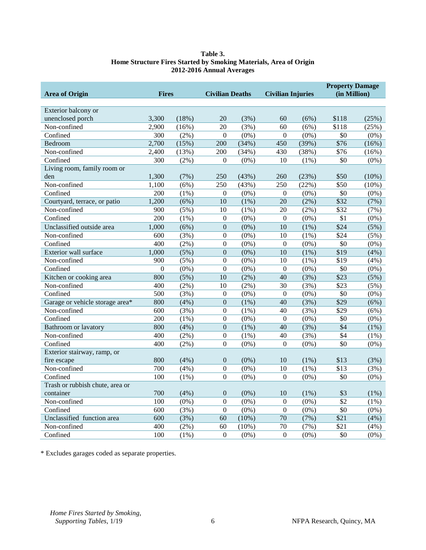#### **Table 3. Home Structure Fires Started by Smoking Materials, Area of Origin 2012-2016 Annual Averages**

<span id="page-6-0"></span>

|                                 |                  |          |                        |          |                          |         | <b>Property Damage</b> |          |
|---------------------------------|------------------|----------|------------------------|----------|--------------------------|---------|------------------------|----------|
| <b>Area of Origin</b>           | <b>Fires</b>     |          | <b>Civilian Deaths</b> |          | <b>Civilian Injuries</b> |         | (in Million)           |          |
|                                 |                  |          |                        |          |                          |         |                        |          |
| Exterior balcony or             |                  |          |                        |          |                          |         |                        |          |
| unenclosed porch                | 3.300            | $(18\%)$ | 20                     | (3%)     | 60                       | (6%)    | \$118                  | (25%)    |
| Non-confined                    | 2,900            | (16%)    | 20                     | (3%)     | 60                       | (6%)    | \$118                  | (25%)    |
| Confined                        | 300              | $(2\%)$  | $\mathbf{0}$           | $(0\%)$  | $\mathbf{0}$             | $(0\%)$ | \$0                    | $(0\%)$  |
| Bedroom                         | 2,700            | (15%)    | 200                    | (34%)    | 450                      | (39%)   | $\overline{$}76$       | (16%)    |
| Non-confined                    | 2,400            | (13%)    | 200                    | (34%)    | 430                      | (38%)   | $\overline{$}76$       | (16%)    |
| Confined                        | 300              | (2%)     | $\Omega$               | $(0\%)$  | 10                       | $(1\%)$ | \$0                    | $(0\%)$  |
| Living room, family room or     |                  |          |                        |          |                          |         |                        |          |
| den                             | 1,300            | (7%)     | 250                    | (43%)    | 260                      | (23%)   | \$50                   | $(10\%)$ |
| Non-confined                    | 1,100            | (6%)     | 250                    | (43%)    | 250                      | (22%)   | \$50                   | $(10\%)$ |
| Confined                        | 200              | $(1\%)$  | $\mathbf{0}$           | $(0\%)$  | $\mathbf{0}$             | $(0\%)$ | \$0                    | $(0\%)$  |
| Courtyard, terrace, or patio    | 1,200            | (6%)     | 10                     | $(1\%)$  | 20                       | (2%)    | $\overline{$32}$       | (7%)     |
| Non-confined                    | 900              | (5%)     | 10                     | $(1\%)$  | 20                       | $(2\%)$ | \$32                   | (7%)     |
| Confined                        | 200              | $(1\%)$  | $\mathbf{0}$           | $(0\%)$  | $\mathbf{0}$             | $(0\%)$ | \$1                    | $(0\%)$  |
| Unclassified outside area       | 1,000            | (6%)     | $\boldsymbol{0}$       | $(0\%)$  | 10                       | (1%)    | \$24                   | (5%)     |
| Non-confined                    | 600              | (3%)     | $\boldsymbol{0}$       | $(0\%)$  | 10                       | $(1\%)$ | \$24                   | $(5\%)$  |
| Confined                        | $\overline{400}$ | $(2\%)$  | $\Omega$               | $(0\%)$  | $\Omega$                 | $(0\%)$ | $\overline{50}$        | $(0\%)$  |
| Exterior wall surface           | 1,000            | (5%)     | $\boldsymbol{0}$       | $(0\%)$  | 10                       | $(1\%)$ | \$19                   | (4% )    |
| Non-confined                    | 900              | $(5\%)$  | $\theta$               | $(0\%)$  | 10                       | $(1\%)$ | \$19                   | (4%)     |
| $\overline{\text{Confined}}$    | $\boldsymbol{0}$ | $(0\%)$  | $\boldsymbol{0}$       | $(0\%)$  | $\boldsymbol{0}$         | $(0\%)$ | $\overline{50}$        | $(0\%)$  |
| Kitchen or cooking area         | 800              | (5%)     | 10                     | $(2\%)$  | 40                       | (3%)    | $\overline{$23}$       | (5%)     |
| Non-confined                    | 400              | $(2\%)$  | 10                     | $(2\%)$  | 30                       | (3%)    | $\overline{$23}$       | $(5\%)$  |
| Confined                        | $\overline{500}$ | (3%)     | $\mathbf{0}$           | $(0\%)$  | $\mathbf{0}$             | $(0\%)$ | $\overline{50}$        | $(0\%)$  |
| Garage or vehicle storage area* | 800              | (4%)     | $\boldsymbol{0}$       | (1%)     | 40                       | (3%)    | $\overline{$29}$       | (6%)     |
| Non-confined                    | 600              | (3%)     | $\boldsymbol{0}$       | (1%)     | 40                       | (3%)    | $\overline{$}29$       | (6%)     |
| Confined                        | 200              | $(1\%)$  | $\boldsymbol{0}$       | $(0\%)$  | $\boldsymbol{0}$         | $(0\%)$ | \$0                    | $(0\%)$  |
| Bathroom or lavatory            | 800              | (4%)     | $\mathbf{0}$           | $(1\%)$  | 40                       | (3%)    | $\overline{$4}$        | $(1\%)$  |
| Non-confined                    | 400              | $(2\%)$  | $\boldsymbol{0}$       | $(1\%)$  | 40                       | (3%)    | $\overline{$4}$        | $(1\%)$  |
| Confined                        | 400              | $(2\%)$  | $\boldsymbol{0}$       | $(0\%)$  | $\boldsymbol{0}$         | $(0\%)$ | $\overline{50}$        | $(0\%)$  |
| Exterior stairway, ramp, or     |                  |          |                        |          |                          |         |                        |          |
| fire escape                     | 800              | (4%)     | $\mathbf{0}$           | $(0\%)$  | 10                       | $(1\%)$ | \$13                   | (3%)     |
| Non-confined                    | 700              | (4%)     | $\boldsymbol{0}$       | $(0\%)$  | 10                       | $(1\%)$ | \$13                   | (3%)     |
| Confined                        | 100              | $(1\%)$  | $\boldsymbol{0}$       | $(0\%)$  | $\boldsymbol{0}$         | $(0\%)$ | \$0                    | $(0\%)$  |
| Trash or rubbish chute, area or |                  |          |                        |          |                          |         |                        |          |
| container                       | 700              | (4%)     | $\mathbf{0}$           | $(0\%)$  | 10                       | (1%)    | \$3                    | (1%)     |
| Non-confined                    | 100              | $(0\%)$  | $\Omega$               | $(0\%)$  | $\Omega$                 | $(0\%)$ | \$2                    | $(1\%)$  |
| Confined                        | 600              | (3%)     | $\theta$               | $(0\%)$  | $\Omega$                 | $(0\%)$ | \$0                    | $(0\%)$  |
| Unclassified function area      | 600              | (3%)     | 60                     | $(10\%)$ | 70                       | (7%)    | \$21                   | (4%)     |
| Non-confined                    | 400              | $(2\%)$  | 60                     | (10%)    | 70                       | (7%)    | \$21                   | (4%)     |
| Confined                        | 100              | $(1\%)$  | $\Omega$               | $(0\%)$  | $\Omega$                 | $(0\%)$ | \$0                    | $(0\%)$  |

\* Excludes garages coded as separate properties.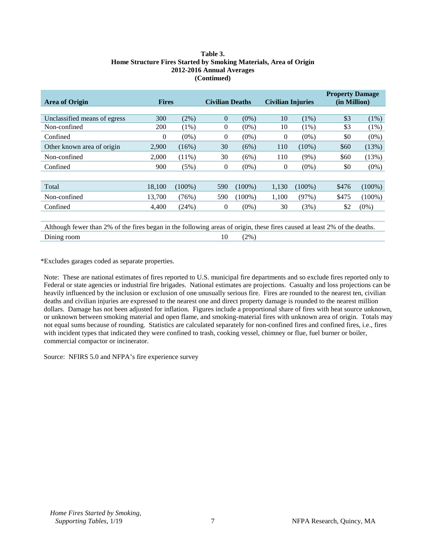#### **Table 3. Home Structure Fires Started by Smoking Materials, Area of Origin 2012-2016 Annual Averages (Continued)**

| <b>Area of Origin</b>                                                                                                     | <b>Fires</b> |           | <b>Civilian Deaths</b> |           | <b>Civilian Injuries</b> |           | <b>Property Damage</b><br>(in Million) |           |
|---------------------------------------------------------------------------------------------------------------------------|--------------|-----------|------------------------|-----------|--------------------------|-----------|----------------------------------------|-----------|
|                                                                                                                           |              |           |                        |           |                          |           |                                        |           |
| Unclassified means of egress                                                                                              | 300          | (2%)      | 0                      | $(0\%)$   | 10                       | $(1\%)$   | \$3                                    | $(1\%)$   |
| Non-confined                                                                                                              | <b>200</b>   | $(1\%)$   | 0                      | $(0\%)$   | 10                       | $(1\%)$   | \$3                                    | (1%)      |
| Confined                                                                                                                  | $\mathbf{0}$ | $(0\%)$   | 0                      | $(0\%)$   | $\theta$                 | $(0\%)$   | \$0                                    | $(0\%)$   |
| Other known area of origin                                                                                                | 2,900        | $(16\%)$  | 30                     | (6%)      | 110                      | $(10\%)$  | \$60                                   | (13%)     |
| Non-confined                                                                                                              | 2,000        | $(11\%)$  | 30                     | (6%)      | 110                      | $(9\%)$   | \$60                                   | (13%)     |
| Confined                                                                                                                  | 900          | (5%)      | $\overline{0}$         | $(0\%)$   | $\theta$                 | $(0\%)$   | \$0                                    | $(0\%)$   |
|                                                                                                                           |              |           |                        |           |                          |           |                                        |           |
| Total                                                                                                                     | 18,100       | $(100\%)$ | 590                    | $(100\%)$ | 1,130                    | $(100\%)$ | \$476                                  | $(100\%)$ |
| Non-confined                                                                                                              | 13,700       | (76%)     | 590                    | $(100\%)$ | 1,100                    | (97%)     | \$475                                  | $(100\%)$ |
| Confined                                                                                                                  | 4,400        | (24%)     | $\overline{0}$         | $(0\%)$   | 30                       | (3%)      | \$2                                    | $(0\%)$   |
|                                                                                                                           |              |           |                        |           |                          |           |                                        |           |
| Although fewer than 2% of the fires began in the following areas of origin, these fires caused at least 2% of the deaths. |              |           |                        |           |                          |           |                                        |           |
| Dining room                                                                                                               |              |           | 10                     | (2%)      |                          |           |                                        |           |

\*Excludes garages coded as separate properties.

Note: These are national estimates of fires reported to U.S. municipal fire departments and so exclude fires reported only to Federal or state agencies or industrial fire brigades. National estimates are projections. Casualty and loss projections can be heavily influenced by the inclusion or exclusion of one unusually serious fire. Fires are rounded to the nearest ten, civilian deaths and civilian injuries are expressed to the nearest one and direct property damage is rounded to the nearest million dollars. Damage has not been adjusted for inflation. Figures include a proportional share of fires with heat source unknown, or unknown between smoking material and open flame, and smoking-material fires with unknown area of origin. Totals may not equal sums because of rounding. Statistics are calculated separately for non-confined fires and confined fires, i.e., fires with incident types that indicated they were confined to trash, cooking vessel, chimney or flue, fuel burner or boiler, commercial compactor or incinerator.

Source: NFIRS 5.0 and NFPA's fire experience survey